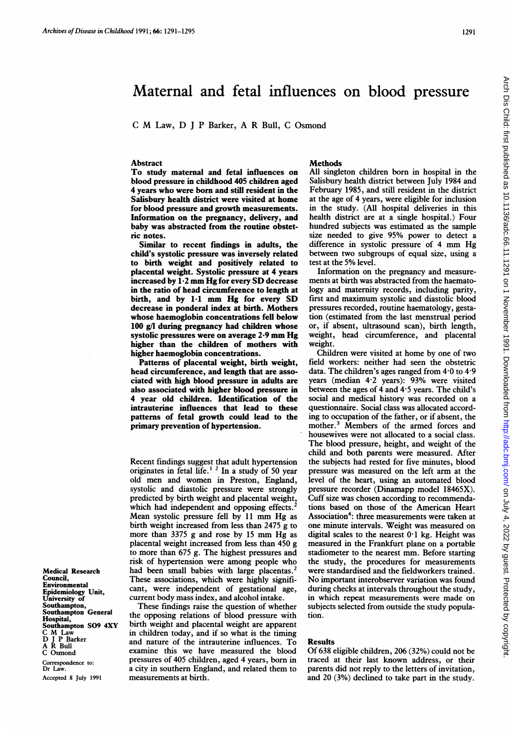# Maternal and fetal influences on blood pressure

<sup>C</sup> M Law, D <sup>J</sup> <sup>P</sup> Barker, A R Bull, C Osmond

#### Abstract

To study maternal and fetal influences on blood pressure in childhood 405 children aged 4 years who were born and still resident in the Salisbury health district were visited at home for blood pressure and growth measurements. Information on the pregnancy, delivery, and baby was abstracted from the routine obstetric notes.

Similar to recent findings in adults, the child's systolic pressure was inversely related to birth weight and positively related to placental weight. Systolic pressure at 4 years increased by 1-2 mm Hg for every SD decrease in the ratio of head circumference to length at birth, and by 1-1 mm Hg for every SD decrease in ponderal index at birth. Mothers whose haemoglobin concentrations fell below 100 g/l during pregnancy had children whose systolic pressures were on average 2-9 mm Hg higher than the children of mothers with higher haemoglobin concentrations.

Patterns of placental weight, birth weight, head circumference, and length that are associated with high blood pressure in adults are also associated with higher blood pressure in 4 year old children. Identification of the intrauterine influences that lead to these patterns of fetal growth could lead to the primary prevention of hypertension.

Recent findings suggest that adult hypertension originates in fetal life.<sup>12</sup> In a study of 50 year old men and women in Preston, England, systolic and diastolic pressure were strongly predicted by birth weight and placental weight, which had independent and opposing effects. Mean systolic pressure fell by <sup>11</sup> mm Hg as birth weight increased from less than 2475 g to more than <sup>3375</sup> <sup>g</sup> and rose by <sup>15</sup> mm Hg as placental weight increased from less than 450 g to more than 675 g. The highest pressures and risk of hypertension were among people who had been small babies with large placentas.<sup>2</sup> These associations, which were highly significant, were independent of gestational age, current body mass index, and alcohol intake.

These findings raise the question of whether the opposing relations of blood pressure with birth weight and placental weight are apparent in children today, and if so what is the timing and nature of the intrauterine influences. To examine this we have measured the blood pressures of 405 children, aged 4 years, born in a city in southern England, and related them to measurements at birth.

#### Methods

All singleton children born in hospital in the Salisbury health district between July 1984 and February 1985, and still resident in the district at the age of 4 years, were eligible for inclusion in the study. (All hospital deliveries in this health district are at a single hospital.) Four hundred subjects was estimated as the sample size needed to give 95% power to detect <sup>a</sup> difference in systolic pressure of <sup>4</sup> mm Hg between two subgroups of equal size, using a test at the 5% level.

Information on the pregnancy and measurements at birth was abstracted from the haematology and maternity records, including parity, first and maximum systolic and diastolic blood pressures recorded, routine haematology, gestation (estimated from the last menstrual period or, if absent, ultrasound scan), birth length, weight, head circumference, and placental weight.

Children were visited at home by one of two field workers: neither had seen the obstetric data. The children's ages ranged from  $4.0$  to  $4.9$ years (median 4-2 years): 93% were visited between the ages of  $4$  and  $4.5$  years. The child's social and medical history was recorded on a questionnaire. Social class was allocated according to occupation of the father, or if absent, the mother.<sup>3</sup> Members of the armed forces and housewives were not allocated to a social class. The blood pressure, height, and weight of the child and both parents were measured. After the subjects had rested for five minutes, blood pressure was measured on the left arm at the level of the heart, using an automated blood pressure recorder (Dinamapp model 18465X). Cuff size was chosen according to recommendations based on those of the American Heart Association<sup>4</sup>: three measurements were taken at one minute intervals. Weight was measured on digital scales to the nearest  $0.1$  kg. Height was measured in the Frankfurt plane on a portable stadiometer to the nearest mm. Before starting the study, the procedures for measurements were standardised and the fieldworkers trained. No important interobserver variation was found during checks at intervals throughout the study, in which repeat measurements were made on subjects selected from outside the study population.

#### Results

Of 638 eligible children, 206 (32%) could not be traced at their last known address, or their parents did not reply to the letters of invitation, and 20 (3%) declined to take part in the study.

Medical Research Council, **Environmental** Epidemiology Unit, University of **Southampton** Southampton General Hospital, Southampton S09 4XY C M Law D <sup>J</sup> P Barker A R Bull C Osmond Correspondence to: Dr Law. Accepted 8 July 1991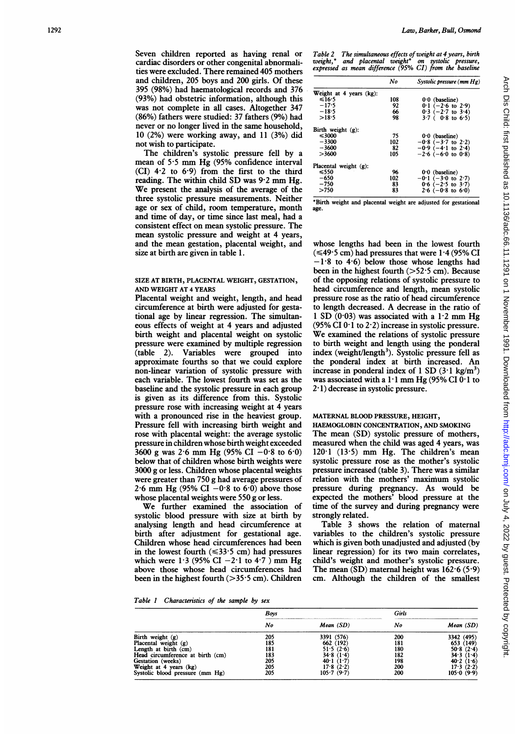Seven children reported as having renal or cardiac disorders or other congenital abnormalities were excluded. There remained 405 mothers and children, 205 boys and 200 girls. Of these 395 (98%) had haematological records and 376 (93%) had obstetric information, although this was not complete in all cases. Altogether 347 (86%) fathers were studied: 37 fathers (9%) had never or no longer lived in the same household, 10 (2%) were working away, and 11 (3%) did not wish to participate.

The children's systolic pressure fell by a mean of 5-5 mm Hg (95% confidence interval  $(CI)$  4.2 to 6.9) from the first to the third reading. The within child SD was 9-2 mm Hg. We present the analysis of the average of the three systolic pressure measurements. Neither age or sex of child, room temperature, month and time of day, or time since last meal, had a consistent effect on mean systolic pressure. The mean systolic pressure and weight at 4 years, and the mean gestation, placental weight, and size at birth are given in table 1.

## SIZE AT BIRTH, PLACENTAL WEIGHT, GESTATION, AND WEIGHT AT 4 YEARS

Placental weight and weight, length, and head circumference at birth were adjusted for gestational age by linear regression. The simultaneous effects of weight at 4 years and adjusted birth weight and placental weight on systolic pressure were examined by multiple regression (table 2). Variables were grouped into approximate fourths so that we could explore non-linear variation of systolic pressure with each variable. The lowest fourth was set as the baseline and the systolic pressure in each group is given as its difference from this. Systolic pressure rose with increasing weight at 4 years with a pronounced rise in the heaviest group. Pressure fell with increasing birth weight and rose with placental weight: the average systolic pressure in children whose birth weight exceeded  $3600$  g was 2.6 mm Hg (95% CI  $-0.8$  to 6.0) below that of children whose birth weights were 3000 g or less. Children whose placental weights were greater than 750 g had average pressures of 2.6 mm Hg (95% CI  $-0.8$  to 6.0) above those whose placental weights were 550 g or less.

We further examined the association of systolic blood pressure with size at birth by analysing length and head circumference at birth after adjustment for gestational age. Children whose head circumferences had been in the lowest fourth  $(\leq 33.5 \text{ cm})$  had pressures which were  $1.3$  (95% CI  $-2.1$  to  $4.7$ ) mm Hg above those whose head circumferences had been in the highest fourth (>35 5 cm). Children Table 2 The simultaneous effects of weight at 4 years, birth<br>weight,\* and placental weight\* on systolic pressure,<br>expressed as mean difference (95% CI) from the baseline

|                          | No  | Systolic pressure $(mm Hg)$ |
|--------------------------|-----|-----------------------------|
| Weight at 4 years (kg):  |     |                             |
| $\leq 16.5$              | 108 | $0.0$ (baseline)            |
| $-17.5$                  | 92  | $0.1$ (-2.6 to 2.9)         |
| $-18.5$                  | 66  | $0.3$ (-2.7 to 3.4)         |
| >18.5                    | 98  | $3.7$ ( 0.8 to 6.5)         |
| Birth weight $(g)$ :     |     |                             |
| $\leq$ 3000              | 75  | $0.0$ (baseline)            |
| $-3300$                  | 102 | $-0.8$ ( $-3.7$ to 2.2)     |
| $-3600$                  | 82  | $-0.9$ ( $-4.1$ to 2.4)     |
| >3600                    | 105 | $-2.6$ ( $-6.0$ to $0.8$ )  |
| Placental weight $(g)$ : |     |                             |
| ≤550                     | 96  | $0.0$ (baseline)            |
| $-650$                   | 102 | $-0.1$ ( $-3.0$ to 2.7)     |
| $-750$                   | 83  | $0.6$ (-2.5 to 3.7)         |
| >750                     | 83  | $2.6$ (-0.8 to 6.0)         |

\*Birth weight and placental weight are adjusted for gestational age.

whose lengths had been in the lowest fourth  $(\leq 49.5 \text{ cm})$  had pressures that were 1.4 (95% CI  $-1.8$  to 4.6) below those whose lengths had been in the highest fourth  $(>52.5 \text{ cm})$ . Because of the opposing relations of systolic pressure to head circumference and length, mean systolic pressure rose as the ratio of head circumference to length decreased. A decrease in the ratio of 1 SD  $(0.03)$  was associated with a 1.2 mm Hg (95% CI  $0.1$  to 2.2) increase in systolic pressure. We examined the relations of systolic pressure to birth weight and length using the ponderal index (weight/length<sup>3</sup>). Systolic pressure fell as the ponderal index at birth increased. An increase in ponderal index of 1 SD  $(3.1 \text{ kg/m}^3)$ was associated with a 1.1 mm Hg (95% CI 0.1 to  $2·1$ ) decrease in systolic pressure.

## MATERNAL BLOOD PRESSURE, HEIGHT,

HAEMOGLOBIN CONCENTRATION, AND SMOKING The mean (SD) systolic pressure of mothers, measured when the child was aged 4 years, was  $120.1$  ( $13.5$ ) mm Hg. The children's mean systolic pressure rose as the mother's systolic pressure increased (table 3). There was a similar relation with the mothers' maximum systolic pressure during pregnancy. As would be expected the mothers' blood pressure at the time of the survey and during pregnancy were strongly related.

Table 3 shows the relation of maternal variables to the children's systolic pressure which is given both unadjusted and adjusted (by linear regression) for its two main correlates, child's weight and mother's systolic pressure. The mean  $(SD)$  maternal height was  $162.6$  (5.9) cm. Although the children of the smallest

|  |  | Table 1 Characteristics of the sample by sex |  |  |  |  |  |
|--|--|----------------------------------------------|--|--|--|--|--|
|--|--|----------------------------------------------|--|--|--|--|--|

|                                  | Bovs |              | Girls |              |
|----------------------------------|------|--------------|-------|--------------|
|                                  | No   | Mean(SD)     | No    | Mean(SD)     |
| Birth weight (g)                 | 205  | 3391 (576)   | 200   | 3342 (495)   |
| Placental weight (g)             | 185  | 662 (192)    | 181   | 653 (149)    |
| Length at birth (cm)             | 181  | 51.5(2.6)    | 180   | 50.8(2.4)    |
| Head circumference at birth (cm) | 183  | 34.8(1.4)    | 182   | 34.3(1.4)    |
| Gestation (weeks)                | 205  | 40.1 $(1.7)$ | 198   | 40.2 $(1.6)$ |
| Weight at 4 years (kg)           | 205  | 17.8(2.2)    | 200   | 17.3(2.2)    |
| Systolic blood pressure (mm Hg)  | 205  | 105.7(9.7)   | 200   | 105.0(9.9)   |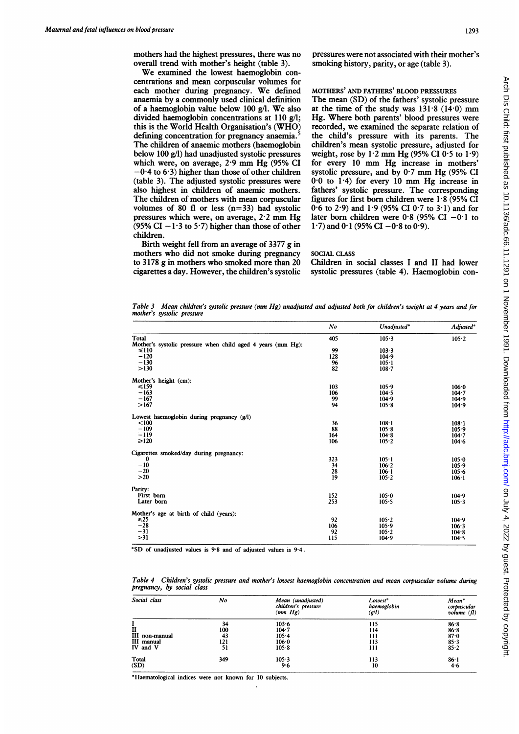mothers had the highest pressures, there was no overall trend with mother's height (table 3).

We examined the lowest haemoglobin concentrations and mean corpuscular volumes for each mother during pregnancy. We defined anaemia by a commonly used clinical definition of <sup>a</sup> haemoglobin value below <sup>100</sup> g/l. We also divided haemoglobin concentrations at 110 g/l; this is the World Health Organisation's (WHO) defining concentration for pregnancy anaemia. The children of anaemic mothers (haemoglobin below 100 g/l) had unadjusted systolic pressures which were, on average, 2-9 mm Hg (95% CI  $-0.4$  to 6.3) higher than those of other children (table 3). The adjusted systolic pressures were also highest in children of anaemic mothers. The children of mothers with mean corpuscular volumes of 80 fl or less  $(n=33)$  had systolic pressures which were, on average, 2-2 mm Hg  $(95\% \text{ CI} - 1.3 \text{ to } 5.7)$  higher than those of other children.

Birth weight fell from an average of 3377 g in mothers who did not smoke during pregnancy to 3178 g in mothers who smoked more than 20 cigarettes a day. However, the children's systolic pressures were not associated with their mother's smoking history, parity, or age (table 3).

## MOTHERS' AND FATHERS' BLOOD PRESSURES

The mean (SD) of the fathers' systolic pressure at the time of the study was  $131.8$  ( $14.0$ ) mm Hg. Where both parents' blood pressures were recorded, we examined the separate relation of the child's pressure with its parents. The children's mean systolic pressure, adjusted for weight, rose by  $1.2$  mm Hg (95% CI 0.5 to  $1.9$ ) for every <sup>10</sup> mm Hg increase in mothers' systolic pressure, and by 0-7 mm Hg (95% CI 0-0 to 1-4) for every <sup>10</sup> mm Hg increase in fathers' systolic pressure. The corresponding figures for first born children were 1-8 (95% CI 0.6 to 2.9) and 1.9 (95% CI 0.7 to 3.1) and for later born children were  $0.8$  (95% CI -0.1 to 1.7) and 0.1 (95% CI  $-0.8$  to 0.9).

## SOCIAL CLASS

Children in social classes <sup>I</sup> and II had lower systolic pressures (table 4). Haemoglobin con-

Table 3 Mean children's systolic pressure (mm Hg) unadjusted and adjusted both for children's weight at 4 years and for mother's systolic pressure

|                                                             | No  | Unadjusted* | Adjusted* |
|-------------------------------------------------------------|-----|-------------|-----------|
| Total                                                       | 405 | 105.3       | $105 - 2$ |
| Mother's systolic pressure when child aged 4 years (mm Hg): |     |             |           |
| $\leq 110$                                                  | 99  | 103.3       |           |
| $-120$                                                      | 128 | 104.9       |           |
| $-130$                                                      | 96  | 105.1       |           |
| >130                                                        | 82  | $108 - 7$   |           |
| Mother's height (cm):                                       |     |             |           |
| $\leq 159$                                                  | 103 | 105.9       | 106.0     |
| $-163$                                                      | 106 | 104.5       | $104 - 7$ |
| $-167$                                                      | 99  | 104.9       | 104.9     |
| >167                                                        | 94  | 105.8       | 104.9     |
| Lowest haemoglobin during pregnancy (g/l)                   |     |             |           |
| < 100                                                       | 36  | $108 - 1$   | $108 - 1$ |
| $-109$                                                      | 88  | 105.8       | 105.9     |
| $-119$                                                      | 164 | 104.8       | $104 - 7$ |
| $\geq 120$                                                  | 106 | $105 - 2$   | 104.6     |
| Cigarettes smoked/day during pregnancy:                     |     |             |           |
| $\bf{0}$                                                    | 323 | $105 - 1$   | 105.0     |
| $-10$                                                       | 34  | 106.2       | 105.9     |
| $-20$                                                       | 28  | 106.1       | 105.6     |
| $>20$                                                       | 19  | 105.2       | $106 - 1$ |
| Parity:                                                     |     |             |           |
| First born                                                  | 152 | $105 - 0$   | 104.9     |
| Later born                                                  | 253 | $105 - 5$   | 105.3     |
| Mother's age at birth of child (years):                     |     |             |           |
| $\leq 25$                                                   | 92  | 105.2       | 104.9     |
| $-28$                                                       | 106 | 105.9       | $106 - 3$ |
| $-31$                                                       | 92  | $105 - 2$   | 104.8     |
| >31                                                         | 115 | 104.9       | 104.5     |

\*SD of unadjusted values is 9-8 and of adjusted values is 9-4.

Table 4 Children's systolic pressure and mother's lowest haemoglobin concentration and mean corpuscular volume during pregnancy, by social class

| Social class   | No  | Mean (unadjusted)<br>children's pressure<br>(mm Hg) | Lowest*<br>haemoglobin<br>$\left($ g/l $\right)$ | Mean*<br>corpuscular<br>volume $(\mathbf{f})$ |
|----------------|-----|-----------------------------------------------------|--------------------------------------------------|-----------------------------------------------|
|                | 34  | 103.6                                               | 115                                              | 86.8                                          |
|                | 100 | $104 - 7$                                           | 114                                              | $86 - 8$                                      |
| III non-manual | 43  | $105 - 4$                                           | 111                                              | 87.0                                          |
| III manual     | 121 | 106.0                                               | 113                                              | 85.3                                          |
| IV and V       | 51  | 105.8                                               | 111                                              | $85 - 2$                                      |
| Total          | 349 | $105 - 3$                                           | 113                                              | 86.1                                          |
| (SD)           |     | 9.6                                                 | 10                                               | 4.6                                           |

\*Haematological indices were not known for 10 subjects.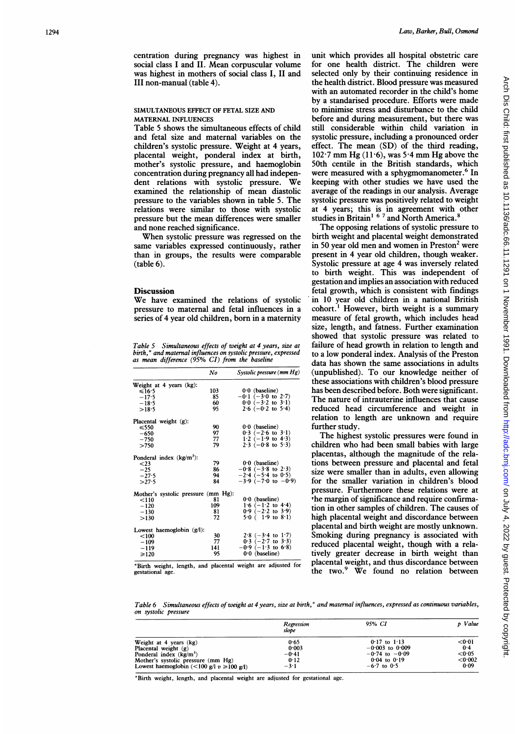centration during pregnancy was highest in social class <sup>I</sup> and II. Mean corpuscular volume was highest in mothers of social class I, II and III non-manual (table 4).

## SIMULTANEOUS EFFECT OF FETAL SIZE AND MATERNAL INFLUENCES

Table 5 shows the simultaneous effects of child and fetal size and maternal variables on the children's systolic pressure. Weight at 4 years, placental weight, ponderal index at birth, mother's systolic pressure, and haemoglobin concentration during pregnancy all had independent relations with systolic pressure. We examined the relationship of mean diastolic pressure to the variables shown in table 5. The relations were similar to those with systolic pressure but the mean differences were smaller and none reached significance.

When systolic pressure was regressed on the same variables expressed continuously, rather than in groups, the results were comparable  $(table 6)$ .

## **Discussion**

We have examined the relations of systolic pressure to maternal and fetal influences in a series of 4 year old children, born in a maternity

Table 5 Simultaneous effects of weight at 4 years, size at birth, \* and maternal influences on systolic pressure, expressed as mean difference (95% CI) from the baseline

|                                     | No  | Systolic pressure $(mm Hg)$   |
|-------------------------------------|-----|-------------------------------|
| Weight at 4 years (kg):             |     |                               |
| ≤16.5                               | 103 | $0.0$ (baseline)              |
| $-17.5$                             | 85  | $-0.1$ (-3.0 to 2.7)          |
| $-18.5$                             | 60. | $0.0 (-3.2 \text{ to } 3.1)$  |
| >18.5                               | 95. | $2.6$ $(-0.2$ to $5.4)$       |
| Placental weight (g):               |     |                               |
| $\leq 550$                          | 90  | $0.0$ (baseline)              |
| $-650$                              | 97  | $0.3$ (-2.6 to 3.1)           |
| $-750$                              | 77  | 1.2 $(-1.9$ to 4.3)           |
| >750                                | 79  | $2.3$ (-0.8 to 5.3)           |
| Ponderal index $(kg/m^3)$ :         |     |                               |
| $<$ 23                              | 79  | $0.0$ (baseline)              |
| $-25$                               | 86  | $-0.8$ ( $-3.8$ to 2.3)       |
| $-27.5$                             | 94  | $-2.4$ ( $-5.4$ to 0.5)       |
| >27.5                               | 84  | $-3.9(-7.0 \text{ to } -0.9)$ |
| Mother's systolic pressure (mm Hg): |     |                               |
| < 110                               | 81  | $0.0$ (baseline)              |
| $-120$                              | 109 | 1.6 $(-1.2 \text{ to } 4.4)$  |
| $-130$                              | 81  | $0.9$ (-2.2 to 3.9)           |
| >130                                | 72  | $5.0$ (1.9 to 8.1)            |
| Lowest haemoglobin $(g/l)$ :        |     |                               |
| < 100                               | 30  | $2.8$ (-3.4 to 1.7)           |
| $-109$                              | 77  | $0.3$ (-2.7 to 3.3)           |
| $-119$                              | 141 | $-0.9$ ( $-1.3$ to 6.8)       |
| $\geq 120$                          | 95  | $0.0$ (baseline)              |

\*Birth weight, length, and placental weight are adjusted for gestational age

unit which provides all hospital obstetric care for one health district. The children were selected only by their continuing residence in the health district. Blood pressure was measured with an automated recorder in the child's home by a standarised procedure. Efforts were made to minimise stress and disturbance to the child before and during measurement, but there was still considerable within child variation in systolic pressure, including a pronounced order effect. The mean (SD) of the third reading, 102 <sup>7</sup> mm Hg (11-6), was 5 <sup>4</sup> mm Hg above the 50th centile in the British standards, which were measured with a sphygmomanometer.<sup>9</sup> In keeping with other studies we have used the average of the readings in our analysis. Average systolic pressure was positively related to weight at 4 years; this is in agreement with other studies in Britain<sup>1</sup> <sup>o</sup> ' and North America.<sup>8</sup>

The opposing relations of systolic pressure to birth weight and placental weight demonstrated in 50 year old men and women in Preston<sup>2</sup> were present in 4 year old children, though weaker. Systolic pressure at age 4 was inversely related to birth weight. This was independent of gestation and implies an association with reduced fetal growth, which is consistent with findings in 10 year old children in a national British cohort.' However, birth weight is a summary measure of fetal growth, which includes head size, length, and fatness. Further examination showed that systolic pressure was related to failure of head growth in relation to length and to a low ponderal index. Analysis of the Preston data has shown the same associations in adults (unpublished). To our knowledge neither of these associations with children's blood pressure has been described before. Both were significant. The nature of intrauterine influences that cause reduced head circumference and weight in relation to length are unknown and require further study.

The highest systolic pressures were found in children who had been small babies with large placentas, although the magnitude of the relations between pressure and placental and fetal size were smaller than in adults, even allowing for the smaller variation in children's blood pressure. Furthermore these relations were at the margin of significance and require confirmation in other samples of children. The causes of high placental weight and discordance between placental and birth weight are mostly unknown. Smoking during pregnancy is associated with reduced placental weight, though with a relatively greater decrease in birth weight than placental weight, and thus discordance between the two.<sup>9</sup> We found no relation between

Table 6 Simultaneous effects of weight at 4 years, size at birth,\* and maternal influences, expressed as continuous variables, on systolic pressure

|                                               | Regression<br>slope | 95% CI              | p Value |
|-----------------------------------------------|---------------------|---------------------|---------|
| Weight at 4 years (kg)                        | 0.65                | $0.17$ to $1.13$    | < 0.01  |
| Placental weight (g)                          | 0.003               | $-0.003$ to $0.009$ | 0.4     |
| Ponderal index $(kg/m3)$                      | $-0.41$             | $-0.74$ to $-0.09$  | < 0.05  |
| Mother's systolic pressure (mm Hg)            | 0.12                | $0.04$ to $0.19$    | < 0.002 |
| Lowest haemoglobin (<100 g/l $v \ge 100$ g/l) | $-3.1$              | $-6.7$ to 0.5       | 0.09    |

'Birth weight, length, and placental weight are adjusted for gestational age.